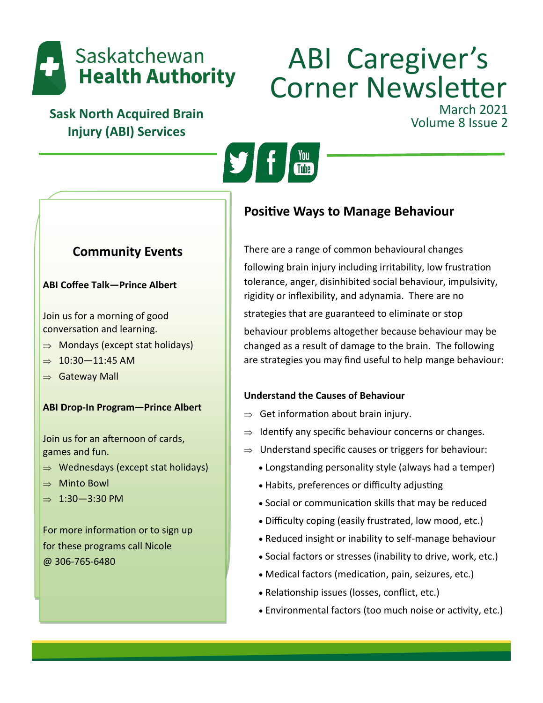

# ABI Caregiver's Corner Newsletter March 2021<br>Volume 8 Issue 2

**Sask North Acquired Brain Injury (ABI) Services**



# **Community Events**

## **ABI Coffee Talk—Prince Albert**

Join us for a morning of good conversation and learning.

- $\Rightarrow$  Mondays (except stat holidays)
- $\Rightarrow$  10:30-11:45 AM
- $\Rightarrow$  Gateway Mall

# **ABI Drop-In Program—Prince Albert**

Join us for an afternoon of cards, games and fun.

- $\Rightarrow$  Wednesdays (except stat holidays)
- $\Rightarrow$  Minto Bowl
- $\Rightarrow$  1:30-3:30 PM

For more information or to sign up for these programs call Nicole @ 306-765-6480

# **Positive Ways to Manage Behaviour**

There are a range of common behavioural changes following brain injury including irritability, low frustration tolerance, anger, disinhibited social behaviour, impulsivity, rigidity or inflexibility, and adynamia. There are no strategies that are guaranteed to eliminate or stop

behaviour problems altogether because behaviour may be changed as a result of damage to the brain. The following are strategies you may find useful to help mange behaviour:

# **Understand the Causes of Behaviour**

- $\Rightarrow$  Get information about brain injury.
- $\Rightarrow$  Identify any specific behaviour concerns or changes.
- $\Rightarrow$  Understand specific causes or triggers for behaviour:
	- Longstanding personality style (always had a temper)
	- Habits, preferences or difficulty adjusting
	- Social or communication skills that may be reduced
	- Difficulty coping (easily frustrated, low mood, etc.)
	- Reduced insight or inability to self-manage behaviour
	- Social factors or stresses (inability to drive, work, etc.)
	- Medical factors (medication, pain, seizures, etc.)
	- Relationship issues (losses, conflict, etc.)
	- Environmental factors (too much noise or activity, etc.)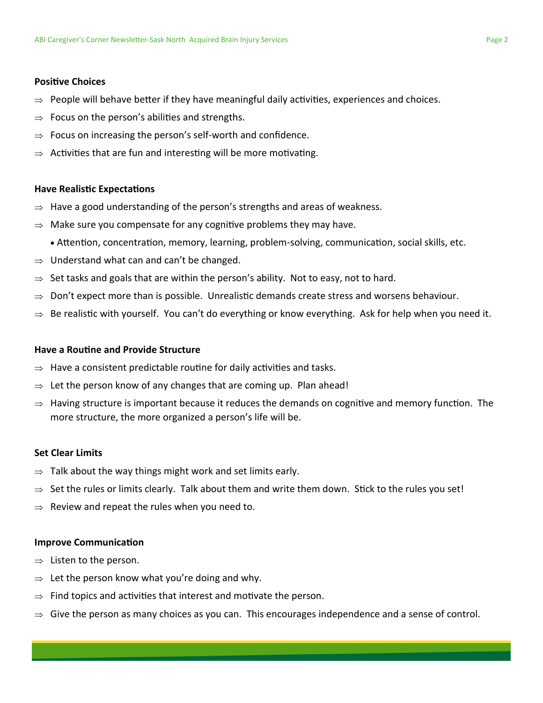#### **Positive Choices**

- $\Rightarrow$  People will behave better if they have meaningful daily activities, experiences and choices.
- $\Rightarrow$  Focus on the person's abilities and strengths.
- $\Rightarrow$  Focus on increasing the person's self-worth and confidence.
- $\Rightarrow$  Activities that are fun and interesting will be more motivating.

#### **Have Realistic Expectations**

- $\Rightarrow$  Have a good understanding of the person's strengths and areas of weakness.
- $\Rightarrow$  Make sure you compensate for any cognitive problems they may have.
	- Attention, concentration, memory, learning, problem-solving, communication, social skills, etc.
- $\Rightarrow$  Understand what can and can't be changed.
- $\Rightarrow$  Set tasks and goals that are within the person's ability. Not to easy, not to hard.
- $\Rightarrow$  Don't expect more than is possible. Unrealistic demands create stress and worsens behaviour.
- $\Rightarrow$  Be realistic with yourself. You can't do everything or know everything. Ask for help when you need it.

#### **Have a Routine and Provide Structure**

- $\Rightarrow$  Have a consistent predictable routine for daily activities and tasks.
- $\Rightarrow$  Let the person know of any changes that are coming up. Plan ahead!
- $\Rightarrow$  Having structure is important because it reduces the demands on cognitive and memory function. The more structure, the more organized a person's life will be.

#### **Set Clear Limits**

- $\Rightarrow$  Talk about the way things might work and set limits early.
- $\Rightarrow$  Set the rules or limits clearly. Talk about them and write them down. Stick to the rules you set!
- $\Rightarrow$  Review and repeat the rules when you need to.

#### **Improve Communication**

- $\Rightarrow$  Listen to the person.
- $\Rightarrow$  Let the person know what you're doing and why.
- $\Rightarrow$  Find topics and activities that interest and motivate the person.
- $\Rightarrow$  Give the person as many choices as you can. This encourages independence and a sense of control.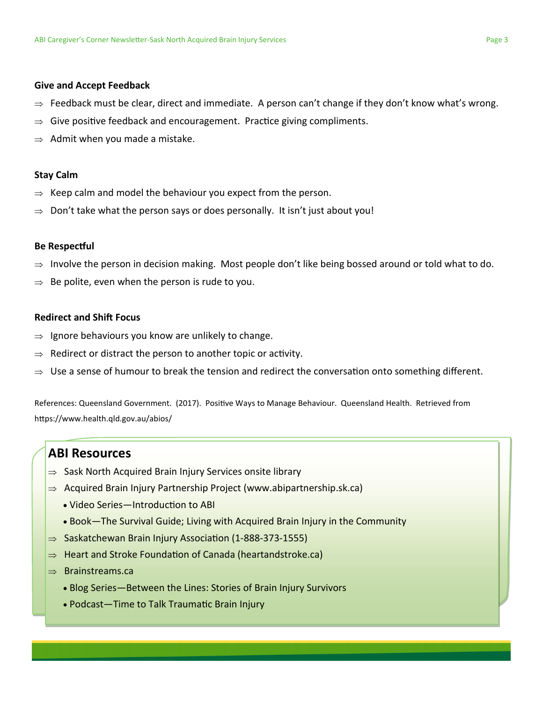#### **Give and Accept Feedback**

- $\Rightarrow$  Feedback must be clear, direct and immediate. A person can't change if they don't know what's wrong.
- $\Rightarrow$  Give positive feedback and encouragement. Practice giving compliments.
- $\Rightarrow$  Admit when you made a mistake.

#### **Stay Calm**

- $\Rightarrow$  Keep calm and model the behaviour you expect from the person.
- $\Rightarrow$  Don't take what the person says or does personally. It isn't just about you!

#### **Be Respectful**

- $\Rightarrow$  Involve the person in decision making. Most people don't like being bossed around or told what to do.
- Be polite, even when the person is rude to you.

#### **Redirect and Shift Focus**

- $\Rightarrow$  Ignore behaviours you know are unlikely to change.
- $\Rightarrow$  Redirect or distract the person to another topic or activity.
- $\Rightarrow$  Use a sense of humour to break the tension and redirect the conversation onto something different.

References: Queensland Government. (2017). Positive Ways to Manage Behaviour. Queensland Health. Retrieved from https://www.health.qld.gov.au/abios/

# **ABI Resources**

- $\Rightarrow$  Sask North Acquired Brain Injury Services onsite library
- $\Rightarrow$  Acquired Brain Injury Partnership Project (www.abipartnership.sk.ca)
	- Video Series—Introduction to ABI
	- Book—The Survival Guide; Living with Acquired Brain Injury in the Community
- $\Rightarrow$  Saskatchewan Brain Injury Association (1-888-373-1555)
- $\Rightarrow$  Heart and Stroke Foundation of Canada (heartandstroke.ca)
- $\Rightarrow$  Brainstreams.ca
	- Blog Series—Between the Lines: Stories of Brain Injury Survivors
	- Podcast—Time to Talk Traumatic Brain Injury